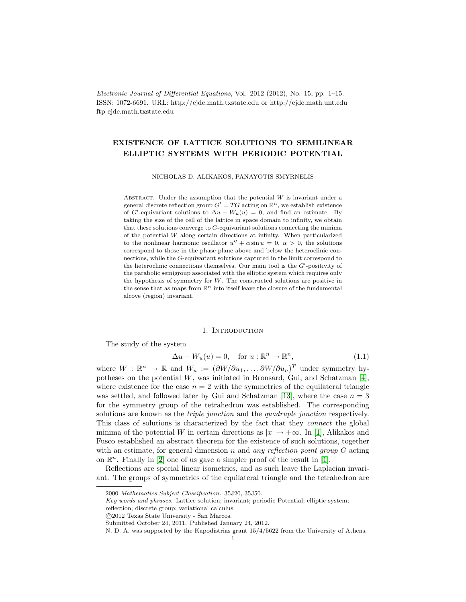Electronic Journal of Differential Equations, Vol. 2012 (2012), No. 15, pp. 1–15. ISSN: 1072-6691. URL: http://ejde.math.txstate.edu or http://ejde.math.unt.edu ftp ejde.math.txstate.edu

# EXISTENCE OF LATTICE SOLUTIONS TO SEMILINEAR ELLIPTIC SYSTEMS WITH PERIODIC POTENTIAL

NICHOLAS D. ALIKAKOS, PANAYOTIS SMYRNELIS

ABSTRACT. Under the assumption that the potential  $W$  is invariant under a general discrete reflection group  $G' = TG$  acting on  $\mathbb{R}^n$ , we establish existence of G'-equivariant solutions to  $\Delta u - W_u(u) = 0$ , and find an estimate. By taking the size of the cell of the lattice in space domain to infinity, we obtain that these solutions converge to G-equivariant solutions connecting the minima of the potential W along certain directions at infinity. When particularized to the nonlinear harmonic oscillator  $u'' + \alpha \sin u = 0$ ,  $\alpha > 0$ , the solutions correspond to those in the phase plane above and below the heteroclinic connections, while the G-equivariant solutions captured in the limit correspond to the heteroclinic connections themselves. Our main tool is the  $G'$ -positivity of the parabolic semigroup associated with the elliptic system which requires only the hypothesis of symmetry for  $W$ . The constructed solutions are positive in the sense that as maps from  $\mathbb{R}^n$  into itself leave the closure of the fundamental alcove (region) invariant.

#### 1. INTRODUCTION

The study of the system

<span id="page-0-0"></span>
$$
\Delta u - W_u(u) = 0, \quad \text{for } u: \mathbb{R}^n \to \mathbb{R}^n,
$$
\n(1.1)

where  $W : \mathbb{R}^n \to \mathbb{R}$  and  $W_u := (\partial W/\partial u_1, \dots, \partial W/\partial u_n)^T$  under symmetry hypotheses on the potential  $W$ , was initiated in Bronsard, Gui, and Schatzman [\[4\]](#page-13-0), where existence for the case  $n = 2$  with the symmetries of the equilateral triangle was settled, and followed later by Gui and Schatzman [\[13\]](#page-13-1), where the case  $n = 3$ for the symmetry group of the tetrahedron was established. The corresponding solutions are known as the *triple junction* and the *quadruple junction* respectively. This class of solutions is characterized by the fact that they connect the global minima of the potential W in certain directions as  $|x| \to +\infty$ . In [\[1\]](#page-13-2), Alikakos and Fusco established an abstract theorem for the existence of such solutions, together with an estimate, for general dimension n and any reflection point group  $G$  acting on  $\mathbb{R}^n$ . Finally in [\[2\]](#page-13-3) one of us gave a simpler proof of the result in [\[1\]](#page-13-2).

Reflections are special linear isometries, and as such leave the Laplacian invariant. The groups of symmetries of the equilateral triangle and the tetrahedron are

<sup>2000</sup> Mathematics Subject Classification. 35J20, 35J50.

Key words and phrases. Lattice solution; invariant; periodic Potential; elliptic system;

reflection; discrete group; variational calculus.

c 2012 Texas State University - San Marcos.

Submitted October 24, 2011. Published January 24, 2012.

N. D. A. was supported by the Kapodistrias grant 15/4/5622 from the University of Athens.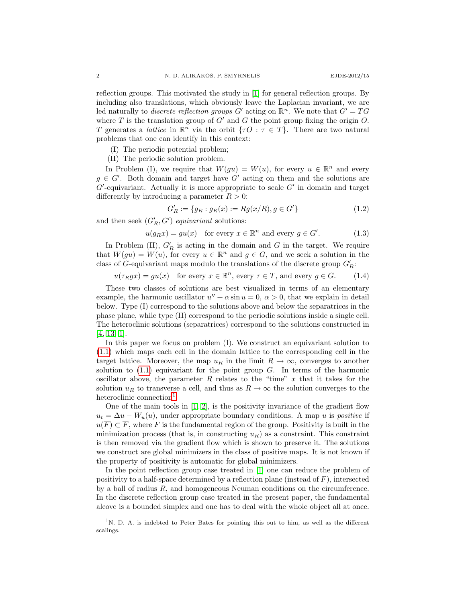reflection groups. This motivated the study in [\[1\]](#page-13-2) for general reflection groups. By including also translations, which obviously leave the Laplacian invariant, we are led naturally to *discrete reflection groups*  $G'$  acting on  $\mathbb{R}^n$ . We note that  $G' = TG$ where T is the translation group of  $G'$  and G the point group fixing the origin O. T generates a *lattice* in  $\mathbb{R}^n$  via the orbit  $\{\tau O : \tau \in T\}$ . There are two natural problems that one can identify in this context:

- (I) The periodic potential problem;
- (II) The periodic solution problem.

In Problem (I), we require that  $W(gu) = W(u)$ , for every  $u \in \mathbb{R}^n$  and every  $g \in G'$ . Both domain and target have G' acting on them and the solutions are  $G'$ -equivariant. Actually it is more appropriate to scale  $G'$  in domain and target differently by introducing a parameter  $R > 0$ :

<span id="page-1-1"></span>
$$
G'_R := \{ g_R : g_R(x) := Rg(x/R), g \in G' \}
$$
\n(1.2)

and then seek  $(G'_R, G')$  equivariant solutions:

<span id="page-1-2"></span>
$$
u(g_R x) = gu(x) \quad \text{for every } x \in \mathbb{R}^n \text{ and every } g \in G'. \tag{1.3}
$$

In Problem (II),  $G'_R$  is acting in the domain and G in the target. We require that  $W(gu) = W(u)$ , for every  $u \in \mathbb{R}^n$  and  $g \in G$ , and we seek a solution in the class of G-equivariant maps modulo the translations of the discrete group  $G'_R$ :

 $u(\tau_R gx) = gu(x)$  for every  $x \in \mathbb{R}^n$ , every  $\tau \in T$ , and every  $g \in G$ . (1.4)

These two classes of solutions are best visualized in terms of an elementary example, the harmonic oscillator  $u'' + \alpha \sin u = 0$ ,  $\alpha > 0$ , that we explain in detail below. Type (I) correspond to the solutions above and below the separatrices in the phase plane, while type (II) correspond to the periodic solutions inside a single cell. The heteroclinic solutions (separatrices) correspond to the solutions constructed in [\[4,](#page-13-0) [13,](#page-13-1) [1\]](#page-13-2).

In this paper we focus on problem (I). We construct an equivariant solution to [\(1.1\)](#page-0-0) which maps each cell in the domain lattice to the corresponding cell in the target lattice. Moreover, the map  $u_R$  in the limit  $R \to \infty$ , converges to another solution to  $(1.1)$  equivariant for the point group G. In terms of the harmonic oscillator above, the parameter  $R$  relates to the "time"  $x$  that it takes for the solution  $u_R$  to transverse a cell, and thus as  $R \to \infty$  the solution converges to the heteroclinic connection<sup>[1](#page-1-0)</sup>.

One of the main tools in  $[1, 2]$  $[1, 2]$ , is the positivity invariance of the gradient flow  $u_t = \Delta u - W_u(u)$ , under appropriate boundary conditions. A map u is *positive* if  $u(\overline{F}) \subset \overline{F}$ , where F is the fundamental region of the group. Positivity is built in the minimization process (that is, in constructing  $u_R$ ) as a constraint. This constraint is then removed via the gradient flow which is shown to preserve it. The solutions we construct are global minimizers in the class of positive maps. It is not known if the property of positivity is automatic for global minimizers.

In the point reflection group case treated in [\[1\]](#page-13-2) one can reduce the problem of positivity to a half-space determined by a reflection plane (instead of  $F$ ), intersected by a ball of radius R, and homogeneous Neuman conditions on the circumference. In the discrete reflection group case treated in the present paper, the fundamental alcove is a bounded simplex and one has to deal with the whole object all at once.

<span id="page-1-0"></span><sup>1</sup>N. D. A. is indebted to Peter Bates for pointing this out to him, as well as the different scalings.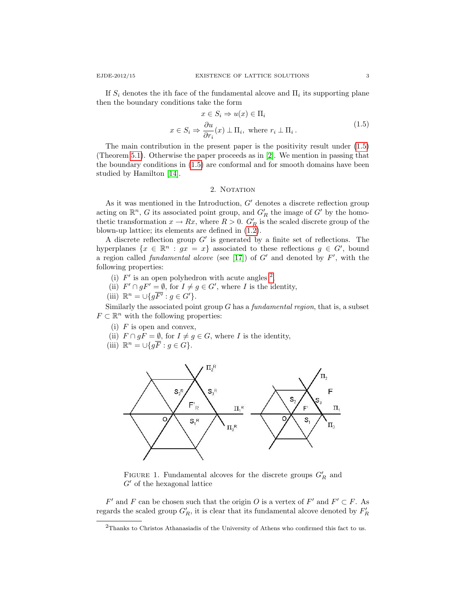If  $S_i$  denotes the ith face of the fundamental alcove and  $\Pi_i$  its supporting plane then the boundary conditions take the form

<span id="page-2-0"></span>
$$
x \in S_i \Rightarrow u(x) \in \Pi_i
$$
  

$$
x \in S_i \Rightarrow \frac{\partial u}{\partial r_i}(x) \perp \Pi_i, \text{ where } r_i \perp \Pi_i.
$$
 (1.5)

The main contribution in the present paper is the positivity result under [\(1.5\)](#page-2-0) (Theorem [5.1\)](#page-6-0). Otherwise the paper proceeds as in [\[2\]](#page-13-3). We mention in passing that the boundary conditions in [\(1.5\)](#page-2-0) are conformal and for smooth domains have been studied by Hamilton [\[14\]](#page-13-4).

### 2. NOTATION

As it was mentioned in the Introduction,  $G'$  denotes a discrete reflection group acting on  $\mathbb{R}^n$ , G its associated point group, and  $G'_R$  the image of  $G'$  by the homothetic transformation  $x \to Rx$ , where  $R > 0$ .  $G'_R$  is the scaled discrete group of the blown-up lattice; its elements are defined in [\(1.2\)](#page-1-1).

A discrete reflection group  $G'$  is generated by a finite set of reflections. The hyperplanes  $\{x \in \mathbb{R}^n : gx = x\}$  associated to these reflections  $g \in G'$ , bound a region called *fundamental alcove* (see [\[17\]](#page-14-0)) of  $G'$  and denoted by  $F'$ , with the following properties:

- (i)  $F'$  is an open polyhedron with acute angles  $^2$  $^2$ ,
- (ii)  $F' \cap gF' = \emptyset$ , for  $I \neq g \in G'$ , where I is the identity,
- (iii)  $\mathbb{R}^n = \bigcup \{ g \overline{F'} : g \in G' \}.$

Similarly the associated point group  $G$  has a *fundamental region*, that is, a subset  $F \subset \mathbb{R}^n$  with the following properties:

- (i)  $F$  is open and convex,
- (ii)  $F \cap gF = \emptyset$ , for  $I \neq g \in G$ , where I is the identity,
- (iii)  $\mathbb{R}^n = \bigcup \{ g \overline{F} : g \in G \}.$



FIGURE 1. Fundamental alcoves for the discrete groups  $G'_R$  and  $G'$  of the hexagonal lattice

 $F'$  and F can be chosen such that the origin O is a vertex of  $F'$  and  $F' \subset F$ . As regards the scaled group  $G'_R$ , it is clear that its fundamental alcove denoted by  $F'_R$ 

<span id="page-2-1"></span><sup>2</sup>Thanks to Christos Athanasiadis of the University of Athens who confirmed this fact to us.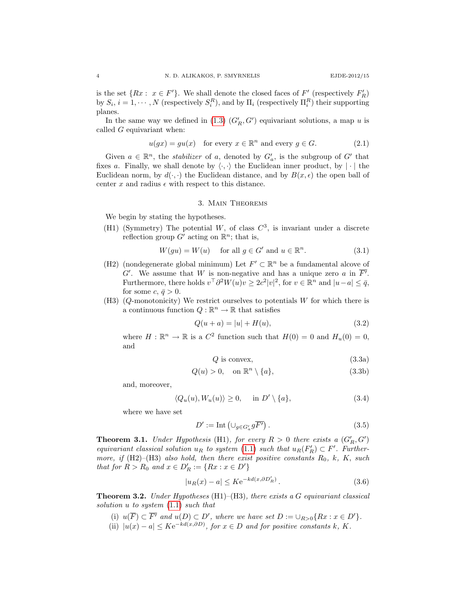is the set  $\{Rx : x \in F'\}$ . We shall denote the closed faces of  $F'$  (respectively  $F'_R$ ) by  $S_i$ ,  $i = 1, \dots, N$  (respectively  $S_i^R$ ), and by  $\Pi_i$  (respectively  $\Pi_i^R$ ) their supporting planes.

In the same way we defined in [\(1.3\)](#page-1-2)  $(G'_R, G')$  equivariant solutions, a map u is called  $G$  equivariant when:

$$
u(gx) = gu(x) \quad \text{for every } x \in \mathbb{R}^n \text{ and every } g \in G. \tag{2.1}
$$

Given  $a \in \mathbb{R}^n$ , the *stabilizer* of a, denoted by  $G'_a$ , is the subgroup of G' that fixes a. Finally, we shall denote by  $\langle \cdot, \cdot \rangle$  the Euclidean inner product, by  $|\cdot|$  the Euclidean norm, by  $d(\cdot, \cdot)$  the Euclidean distance, and by  $B(x, \epsilon)$  the open ball of center x and radius  $\epsilon$  with respect to this distance.

## 3. Main Theorems

We begin by stating the hypotheses.

(H1) (Symmetry) The potential W, of class  $C^3$ , is invariant under a discrete reflection group  $G'$  acting on  $\mathbb{R}^n$ ; that is,

$$
W(gu) = W(u) \quad \text{ for all } g \in G' \text{ and } u \in \mathbb{R}^n. \tag{3.1}
$$

- (H2) (nondegenerate global minimum) Let  $F' \subset \mathbb{R}^n$  be a fundamental alcove of G'. We assume that W is non-negative and has a unique zero a in  $\overline{F'}$ . Furthermore, there holds  $v^{\top} \partial^2 W(u)v \geq 2c^2|v|^2$ , for  $v \in \mathbb{R}^n$  and  $|u-a| \leq \bar{q}$ , for some  $c, \bar{q} > 0$ .
- (H3) (Q-monotonicity) We restrict ourselves to potentials W for which there is a continuous function  $Q : \mathbb{R}^n \to \mathbb{R}$  that satisfies

$$
Q(u+a) = |u| + H(u),
$$
\n(3.2)

where  $H : \mathbb{R}^n \to \mathbb{R}$  is a  $C^2$  function such that  $H(0) = 0$  and  $H_u(0) = 0$ , and

$$
Q \text{ is convex},\tag{3.3a}
$$

$$
Q(u) > 0, \quad \text{on } \mathbb{R}^n \setminus \{a\},\tag{3.3b}
$$

and, moreover,

$$
\langle Q_u(u), W_u(u) \rangle \ge 0, \quad \text{ in } D' \setminus \{a\}, \tag{3.4}
$$

where we have set

$$
D' := \text{Int} \left( \cup_{g \in G'_a} g \overline{F'} \right). \tag{3.5}
$$

<span id="page-3-1"></span>**Theorem 3.1.** Under Hypothesis (H1), for every  $R > 0$  there exists a  $(G'_R, G')$ equivariant classical solution  $u_R$  to system [\(1.1\)](#page-0-0) such that  $u_R(F'_R) \subset F'$ . Furthermore, if  $(H2)$ – $(H3)$  also hold, then there exist positive constants  $R_0$ , k, K, such that for  $R > R_0$  and  $x \in D'_R := \{Rx : x \in D'\}$ 

$$
|u_R(x) - a| \le K e^{-kd(x, \partial D'_R)}.
$$
\n
$$
(3.6)
$$

<span id="page-3-0"></span>**Theorem 3.2.** Under Hypotheses (H1)–(H3), there exists a G equivariant classical solution u to system  $(1.1)$  such that

- (i)  $u(\overline{F}) \subset \overline{F'}$  and  $u(D) \subset D'$ , where we have set  $D := \bigcup_{R>0} \{Rx : x \in D'\}.$
- (ii)  $|u(x) a| \leq K e^{-kd(x,\partial D)}$ , for  $x \in D$  and for positive constants k, K.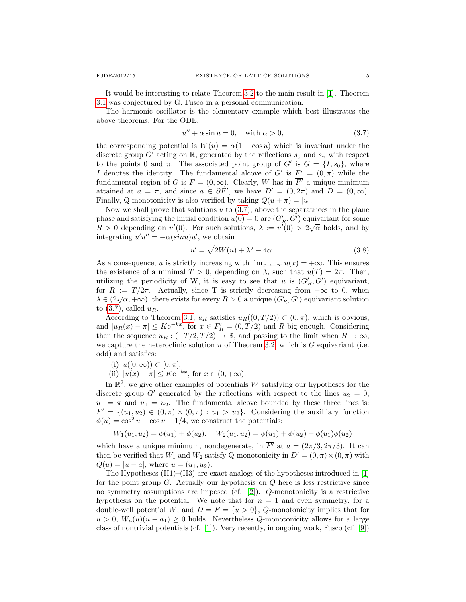It would be interesting to relate Theorem [3.2](#page-3-0) to the main result in [\[1\]](#page-13-2). Theorem [3.1](#page-3-1) was conjectured by G. Fusco in a personal communication.

The harmonic oscillator is the elementary example which best illustrates the above theorems. For the ODE,

<span id="page-4-0"></span>
$$
u'' + \alpha \sin u = 0, \quad \text{with } \alpha > 0,
$$
\n
$$
(3.7)
$$

the corresponding potential is  $W(u) = \alpha(1 + \cos u)$  which is invariant under the discrete group G' acting on R, generated by the reflections  $s_0$  and  $s_\pi$  with respect to the points 0 and  $\pi$ . The associated point group of G' is  $G = \{I, s_0\}$ , where I denotes the identity. The fundamental alcove of G' is  $F' = (0, \pi)$  while the fundamental region of G is  $F = (0, \infty)$ . Clearly, W has in  $\overline{F'}$  a unique minimum attained at  $a = \pi$ , and since  $a \in \partial F'$ , we have  $D' = (0, 2\pi)$  and  $D = (0, \infty)$ . Finally, Q-monotonicity is also verified by taking  $Q(u + \pi) = |u|$ .

Now we shall prove that solutions  $u$  to  $(3.7)$ , above the separatrices in the plane phase and satisfying the initial condition  $u(0) = 0$  are  $(G'_R, G')$  equivariant for some  $R > 0$  depending on  $u'(0)$ . For such solutions,  $\lambda := u'(0) > 2\sqrt{\alpha}$  holds, and by integrating  $u'u'' = -\alpha(\sin u)u'$ , we obtain

$$
u' = \sqrt{2W(u) + \lambda^2 - 4\alpha}.
$$
\n(3.8)

As a consequence, u is strictly increasing with  $\lim_{x\to+\infty} u(x) = +\infty$ . This ensures the existence of a minimal  $T > 0$ , depending on  $\lambda$ , such that  $u(T) = 2\pi$ . Then, utilizing the periodicity of W, it is easy to see that u is  $(G_R, G')$  equivariant, for  $R := T/2\pi$ . Actually, since T is strictly decreasing from  $+\infty$  to 0, when  $\lambda \in (2\sqrt{\alpha}, +\infty)$ , there exists for every  $R > 0$  a unique  $(G_R', G')$  equivariant solution to  $(3.7)$ , called  $u_R$ .

According to Theorem [3.1,](#page-3-1)  $u_R$  satisfies  $u_R((0,T/2)) \subset (0,\pi)$ , which is obvious, and  $|u_R(x) - \pi| \leq Ke^{-kx}$ , for  $x \in F'_R = (0, T/2)$  and R big enough. Considering then the sequence  $u_R : (-T/2, T/2) \to \mathbb{R}$ , and passing to the limit when  $R \to \infty$ , we capture the heteroclinic solution u of Theorem [3.2,](#page-3-0) which is  $G$  equivariant (i.e. odd) and satisfies:

- (i)  $u([0, \infty)) \subset [0, \pi];$
- (ii)  $|u(x) \pi| \leq K e^{-kx}$ , for  $x \in (0, +\infty)$ .

In  $\mathbb{R}^2$ , we give other examples of potentials W satisfying our hypotheses for the discrete group G' generated by the reflections with respect to the lines  $u_2 = 0$ ,  $u_1 = \pi$  and  $u_1 = u_2$ . The fundamental alcove bounded by these three lines is:  $F' = \{(u_1, u_2) \in (0, \pi) \times (0, \pi) : u_1 > u_2\}.$  Considering the auxilliary function  $\phi(u) = \cos^2 u + \cos u + 1/4$ , we construct the potentials:

$$
W_1(u_1, u_2) = \phi(u_1) + \phi(u_2), \quad W_2(u_1, u_2) = \phi(u_1) + \phi(u_2) + \phi(u_1)\phi(u_2)
$$

which have a unique minimum, nondegenerate, in  $\overline{F}$  at  $a = (2\pi/3, 2\pi/3)$ . It can then be verified that  $W_1$  and  $W_2$  satisfy Q-monotonicity in  $D' = (0, \pi) \times (0, \pi)$  with  $Q(u) = |u - a|$ , where  $u = (u_1, u_2)$ .

The Hypotheses  $(H1)$ – $(H3)$  are exact analogs of the hypotheses introduced in [\[1\]](#page-13-2) for the point group  $G$ . Actually our hypothesis on  $Q$  here is less restrictive since no symmetry assumptions are imposed (cf.  $[2]$ ).  $Q$ -monotonicity is a restrictive hypothesis on the potential. We note that for  $n = 1$  and even symmetry, for a double-well potential W, and  $D = F = \{u > 0\}$ , Q-monotonicity implies that for  $u > 0$ ,  $W_u(u)(u - a_1) \geq 0$  holds. Nevertheless Q-monotonicity allows for a large class of nontrivial potentials (cf. [\[1\]](#page-13-2)). Very recently, in ongoing work, Fusco (cf. [\[9\]](#page-13-5))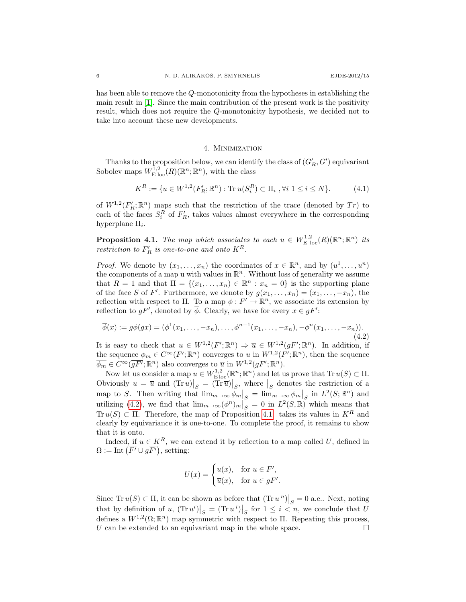has been able to remove the Q-monotonicity from the hypotheses in establishing the main result in [\[1\]](#page-13-2). Since the main contribution of the present work is the positivity result, which does not require the Q-monotonicity hypothesis, we decided not to take into account these new developments.

#### 4. Minimization

Thanks to the proposition below, we can identify the class of  $(G'_R, G')$  equivariant Sobolev maps  $W^{1,2}_{\mathrm{E}}_{\mathrm{loc}}(R)(\mathbb{R}^n;\mathbb{R}^n)$ , with the class

$$
K^{R} := \{ u \in W^{1,2}(F'_{R}; \mathbb{R}^{n}) : \text{Tr } u(S_{i}^{R}) \subset \Pi_{i}, \forall i \ 1 \le i \le N \}. \tag{4.1}
$$

of  $W^{1,2}(F_R';\mathbb{R}^n)$  maps such that the restriction of the trace (denoted by  $Tr)$  to each of the faces  $S_i^R$  of  $F'_R$ , takes values almost everywhere in the corresponding hyperplane  $\Pi_i$ .

<span id="page-5-1"></span>**Proposition 4.1.** The map which associates to each  $u \in W^{1,2}_{\text{E loc}}(R)(\mathbb{R}^n;\mathbb{R}^n)$  its restriction to  $F'_R$  is one-to-one and onto  $K^R$ .

*Proof.* We denote by  $(x_1, \ldots, x_n)$  the coordinates of  $x \in \mathbb{R}^n$ , and by  $(u^1, \ldots, u^n)$ the components of a map u with values in  $\mathbb{R}^n$ . Without loss of generality we assume that  $R = 1$  and that  $\Pi = \{(x_1, \ldots, x_n) \in \mathbb{R}^n : x_n = 0\}$  is the supporting plane of the face S of F'. Furthermore, we denote by  $g(x_1, \ldots, x_n) = (x_1, \ldots, -x_n)$ , the reflection with respect to  $\Pi$ . To a map  $\phi: F' \to \mathbb{R}^n$ , we associate its extension by reflection to  $gF'$ , denoted by  $\overline{\phi}$ . Clearly, we have for every  $x \in gF'$ :

<span id="page-5-0"></span>
$$
\overline{\phi}(x) := g\phi(gx) = (\phi^1(x_1, \dots, -x_n), \dots, \phi^{n-1}(x_1, \dots, -x_n), -\phi^n(x_1, \dots, -x_n)).
$$
\n(4.2)

It is easy to check that  $u \in W^{1,2}(F';\mathbb{R}^n) \Rightarrow \overline{u} \in W^{1,2}(gF';\mathbb{R}^n)$ . In addition, if the sequence  $\phi_m \in C^{\infty}(\overline{F'}; \mathbb{R}^n)$  converges to u in  $W^{1,2}(F'; \mathbb{R}^n)$ , then the sequence  $\overline{\phi_m} \in C^{\infty}(\overline{gF'};\mathbb{R}^n)$  also converges to  $\overline{u}$  in  $W^{1,2}(gF';\mathbb{R}^n)$ .

Now let us consider a map  $u \in W^{1,2}_{\text{E loc}}(\mathbb{R}^n;\mathbb{R}^n)$  and let us prove that  $\text{Tr } u(S) \subset \Pi$ . Obviously  $u = \overline{u}$  and  $(\text{Tr } u)|_S = (\text{Tr } \overline{u})|_S$ , where  $|_S$  denotes the restriction of a map to S. Then writing that  $\lim_{m\to\infty}\phi_m|_S = \lim_{m\to\infty}\overline{\phi_m}|_S$  in  $L^2(S;\mathbb{R}^n)$  and utilizing [\(4.2\)](#page-5-0), we find that  $\lim_{m\to\infty} (\phi^n)_m\Big|_S^{\infty} = 0$  in  $L^2(S,\mathbb{R})$  which means that Tr  $u(S) \subset \Pi$ . Therefore, the map of Proposition [4.1.](#page-5-1) takes its values in  $K^R$  and clearly by equivariance it is one-to-one. To complete the proof, it remains to show that it is onto.

Indeed, if  $u \in K^R$ , we can extend it by reflection to a map called U, defined in  $\Omega := \text{Int } (\overline{F'} \cup g\overline{F'}),$  setting:

$$
U(x) = \begin{cases} u(x), & \text{for } u \in F', \\ \overline{u}(x), & \text{for } u \in gF'. \end{cases}
$$

Since Tr  $u(S) \subset \Pi$ , it can be shown as before that  $(\text{Tr } \overline{u}^n)|_S = 0$  a.e.. Next, noting that by definition of  $\overline{u}$ ,  $(\text{Tr } u^i)|_S = (\text{Tr } \overline{u}^i)|_S$  for  $1 \leq i \leq n$ , we conclude that U defines a  $W^{1,2}(\Omega;\mathbb{R}^n)$  map symmetric with respect to  $\Pi$ . Repeating this process, U can be extended to an equivariant map in the whole space.  $\Box$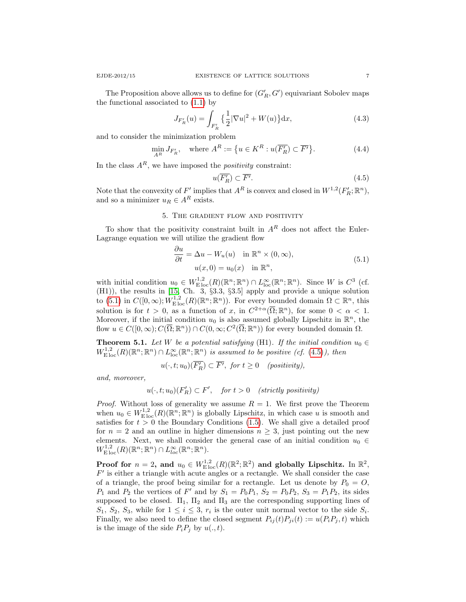The Proposition above allows us to define for  $(G'_R, G')$  equivariant Sobolev maps the functional associated to [\(1.1\)](#page-0-0) by

$$
J_{F'_R}(u) = \int_{F'_R} \left\{ \frac{1}{2} |\nabla u|^2 + W(u) \right\} \mathrm{d}x,\tag{4.3}
$$

and to consider the minimization problem

$$
\min_{A^R} J_{F'_R}, \quad \text{where } A^R := \{ u \in K^R : u(\overline{F'_R}) \subset \overline{F'} \}. \tag{4.4}
$$

In the class  $A^R$ , we have imposed the *positivity* constraint:

<span id="page-6-2"></span>
$$
u(\overline{F_R'}) \subset \overline{F'}.
$$
\n
$$
(4.5)
$$

Note that the convexity of  $F'$  implies that  $A^R$  is convex and closed in  $W^{1,2}(F'_R; \mathbb{R}^n)$ , and so a minimizer  $u_R \in A^R$  exists.

# 5. The gradient flow and positivity

To show that the positivity constraint built in  $A<sup>R</sup>$  does not affect the Euler-Lagrange equation we will utilize the gradient flow

<span id="page-6-1"></span>
$$
\frac{\partial u}{\partial t} = \Delta u - W_u(u) \quad \text{in } \mathbb{R}^n \times (0, \infty),
$$
  
\n
$$
u(x, 0) = u_0(x) \quad \text{in } \mathbb{R}^n,
$$
\n(5.1)

with initial condition  $u_0 \in W^{1,2}_{\text{Eloc}}(R)(\mathbb{R}^n;\mathbb{R}^n) \cap L^{\infty}_{\text{loc}}(\mathbb{R}^n;\mathbb{R}^n)$ . Since W is  $C^3$  (cf. (H1)), the results in [\[15,](#page-14-1) Ch. 3, §3.3, §3.5] apply and provide a unique solution to  $(5.1)$  in  $C([0,\infty); W^{1,2}_{\text{E loc}}(R)(\mathbb{R}^n;\mathbb{R}^n))$ . For every bounded domain  $\Omega \subset \mathbb{R}^n$ , this solution is for  $t > 0$ , as a function of x, in  $C^{2+\alpha}(\overline{\Omega}; \mathbb{R}^n)$ , for some  $0 < \alpha < 1$ . Moreover, if the initial condition  $u_0$  is also assumed globally Lipschitz in  $\mathbb{R}^n$ , the flow  $u \in C([0,\infty); C(\overline{\Omega}; \mathbb{R}^n)) \cap C(0,\infty; C^2(\overline{\Omega}; \mathbb{R}^n))$  for every bounded domain  $\Omega$ .

<span id="page-6-0"></span>**Theorem 5.1.** Let W be a potential satisfying (H1). If the initial condition  $u_0 \in$  $W^{1,2}_{\text{E loc}}(R)(\mathbb{R}^n;\mathbb{R}^n) \cap L^{\infty}_{\text{loc}}(\mathbb{R}^n;\mathbb{R}^n)$  is assumed to be positive (cf. [\(4.5\)](#page-6-2)), then

$$
u(\cdot,t;u_0)(\overline{F'_R}) \subset \overline{F'}, \text{ for } t \ge 0 \quad (positivity),
$$

and, moreover,

$$
u(\cdot, t; u_0)(F'_R) \subset F', \quad \text{for } t > 0 \quad (\text{strictly positivity})
$$

*Proof.* Without loss of generality we assume  $R = 1$ . We first prove the Theorem when  $u_0 \in W^{1,2}_{\text{E loc}}(R)(\mathbb{R}^n;\mathbb{R}^n)$  is globally Lipschitz, in which case u is smooth and satisfies for  $t > 0$  the Boundary Conditions [\(1.5\)](#page-2-0). We shall give a detailed proof for  $n = 2$  and an outline in higher dimensions  $n > 3$ , just pointing out the new elements. Next, we shall consider the general case of an initial condition  $u_0 \in$  $W^{1,2}_{\mathrm{E} \, \mathrm{loc}}(R)(\mathbb{R}^n;\mathbb{R}^n) \cap L^{\infty}_{loc}(\mathbb{R}^n;\mathbb{R}^n).$ 

Proof for  $n = 2$ , and  $u_0 \in W^{1,2}_{\mathrm{E} \mathrm{loc}}(R)({\mathbb R}^2;{\mathbb R}^2)$  and globally Lipschitz. In  ${\mathbb R}^2$ ,  $F'$  is either a triangle with acute angles or a rectangle. We shall consider the case of a triangle, the proof being similar for a rectangle. Let us denote by  $P_0 = O$ ,  $P_1$  and  $P_2$  the vertices of F' and by  $S_1 = P_0 P_1$ ,  $S_2 = P_0 P_2$ ,  $S_3 = P_1 P_2$ , its sides supposed to be closed.  $\Pi_1$ ,  $\Pi_2$  and  $\Pi_3$  are the corresponding supporting lines of  $S_1, S_2, S_3$ , while for  $1 \leq i \leq 3$ ,  $r_i$  is the outer unit normal vector to the side  $S_i$ . Finally, we also need to define the closed segment  $P_{ij}(t)P_{ji}(t) := u(P_iP_j, t)$  which is the image of the side  $P_iP_j$  by  $u(., t)$ .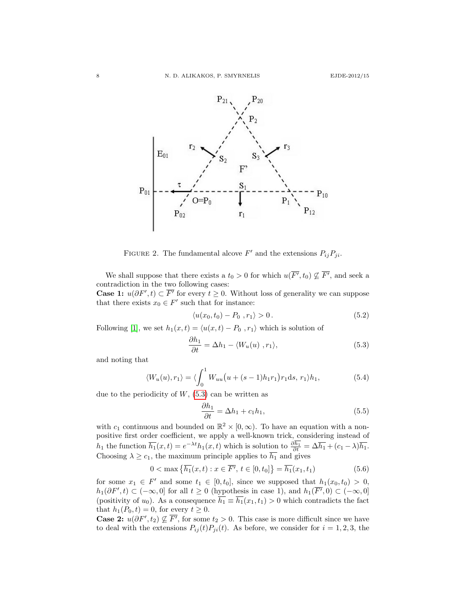

FIGURE 2. The fundamental alcove  $F'$  and the extensions  $P_{ij}P_{ji}$ .

We shall suppose that there exists a  $t_0 > 0$  for which  $u(\overline{F'}, t_0) \nsubseteq \overline{F'}$ , and seek a contradiction in the two following cases: **Case 1:**  $u(\partial F', t) \subset \overline{F'}$  for every  $t \geq 0$ . Without loss of generality we can suppose

that there exists  $x_0 \in F'$  such that for instance:

$$
\langle u(x_0, t_0) - P_0, r_1 \rangle > 0. \tag{5.2}
$$

Following [\[1\]](#page-13-2), we set  $h_1(x, t) = \langle u(x, t) - P_0 \rangle$  ,  $r_1 \rangle$  which is solution of

<span id="page-7-0"></span>
$$
\frac{\partial h_1}{\partial t} = \Delta h_1 - \langle W_u(u) \rangle, r_1 \rangle, \tag{5.3}
$$

and noting that

$$
\langle W_u(u), r_1 \rangle = \langle \int_0^1 W_{uu}\big(u + (s-1)h_1r_1\big)r_1\mathrm{d}s, \, r_1 \rangle h_1,\tag{5.4}
$$

due to the periodicity of  $W$ , [\(5.3\)](#page-7-0) can be written as

$$
\frac{\partial h_1}{\partial t} = \Delta h_1 + c_1 h_1,\tag{5.5}
$$

with  $c_1$  continuous and bounded on  $\mathbb{R}^2 \times [0, \infty)$ . To have an equation with a nonpositive first order coefficient, we apply a well-known trick, considering instead of  $h_1$  the function  $\overline{h_1}(x,t) = e^{-\lambda t}h_1(x,t)$  which is solution to  $\frac{\partial h_1}{\partial t} = \Delta \overline{h_1} + (c_1 - \lambda)\overline{h_1}$ . Choosing  $\lambda \geq c_1$ , the maximum principle applies to  $h_1$  and gives

$$
0 < \max \{ \overline{h_1}(x, t) : x \in \overline{F'}, t \in [0, t_0] \} = \overline{h_1}(x_1, t_1)
$$
 (5.6)

for some  $x_1 \in F'$  and some  $t_1 \in [0, t_0]$ , since we supposed that  $h_1(x_0, t_0) > 0$ ,  $h_1(\partial F', t) \subset (-\infty, 0]$  for all  $t \geq 0$  (hypothesis in case 1), and  $h_1(\overline{F'}, 0) \subset (-\infty, 0]$ (positivity of  $u_0$ ). As a consequence  $\overline{h_1} \equiv \overline{h_1}(x_1, t_1) > 0$  which contradicts the fact that  $h_1(P_0, t) = 0$ , for every  $t \geq 0$ .

**Case 2:**  $u(\partial F', t_2) \nsubseteq \overline{F'}$ , for some  $t_2 > 0$ . This case is more difficult since we have to deal with the extensions  $P_{ij}(t)P_{ji}(t)$ . As before, we consider for  $i = 1, 2, 3$ , the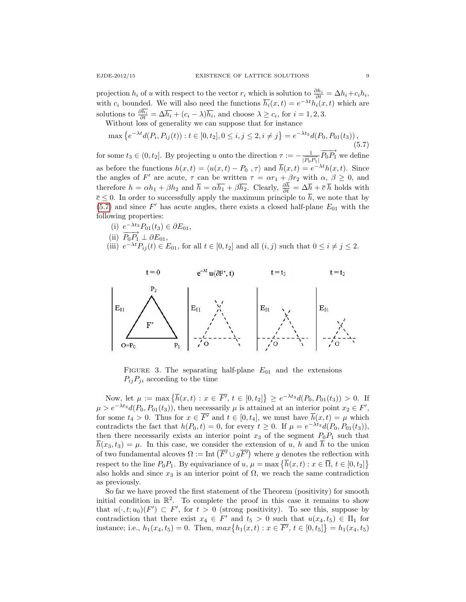projection  $h_i$  of u with respect to the vector  $r_i$  which is solution to  $\frac{\partial h_i}{\partial t} = \Delta h_i + c_i h_i$ , with  $c_i$  bounded. We will also need the functions  $\overline{h_i}(x,t) = e^{-\lambda t} h_i(x,t)$  which are solutions to  $\frac{\partial h_i}{\partial t} = \Delta \overline{h_i} + (c_i - \lambda) \overline{h_i}$ , and choose  $\lambda \geq c_i$ , for  $i = 1, 2, 3$ .

Without loss of generality we can suppose that for instance

<span id="page-8-0"></span>
$$
\max\left\{e^{-\lambda t}d(P_i, P_{ij}(t)) : t \in [0, t_2], 0 \le i, j \le 2, i \ne j\right\} = e^{-\lambda t_3}d(P_0, P_{01}(t_3)),\tag{5.7}
$$

for some  $t_3 \in (0, t_2]$ . By projecting u onto the direction  $\tau := -\frac{1}{\sqrt{D}}$  $\frac{1}{|\overrightarrow{P_0}\overrightarrow{P_1}|} \overrightarrow{P_0}\overrightarrow{P_1}$  we define as before the functions  $h(x,t) = \langle u(x,t) - P_0, \tau \rangle$  and  $\overline{h}(x,t) = e^{-\lambda t}h(x,t)$ . Since the angles of F' are acute,  $\tau$  can be written  $\tau = \alpha r_1 + \beta r_2$  with  $\alpha, \beta \geq 0$ , and therefore  $h = \alpha h_1 + \beta h_2$  and  $\bar{h} = \alpha \bar{h}_1 + \beta \bar{h}_2$ . Clearly,  $\frac{\partial h}{\partial t} = \Delta \bar{h} + \bar{c} \bar{h}$  holds with  $\overline{c} \leq 0$ . In order to successfully apply the maximum principle to  $\overline{h}$ , we note that by  $(5.7)$  and since  $F'$  has acute angles, there exists a closed half-plane  $E_{01}$  with the following properties:

- (i)  $e^{-\lambda t_3} P_{01}(t_3) \in \partial E_{01}$ ,
- (ii)  $\overrightarrow{P_0P_1} \perp \partial E_{01}$ ,
- (iii)  $e^{-\lambda t}P_{ij}(t) \in E_{01}$ , for all  $t \in [0, t_2]$  and all  $(i, j)$  such that  $0 \leq i \neq j \leq 2$ .



FIGURE 3. The separating half-plane  $E_{01}$  and the extensions  $P_{ij}P_{ji}$  according to the time

Now, let  $\mu := \max \{ \overline{h}(x,t) : x \in \overline{F'}, t \in [0,t_2] \} \ge e^{-\lambda t_3} d(P_0, P_{01}(t_3)) > 0$ . If  $\mu > e^{-\lambda t_3} d(P_0, P_{01}(t_3))$ , then necessarily  $\mu$  is attained at an interior point  $x_2 \in F'$ , for some  $t_4 > 0$ . Thus for  $x \in \overline{F'}$  and  $t \in [0, t_4]$ , we must have  $\overline{h}(x, t) = \mu$  which contradicts the fact that  $h(P_0,t) = 0$ , for every  $t \geq 0$ . If  $\mu = e^{-\lambda t_3} d(P_0, P_{01}(t_3)),$ then there necessarily exists an interior point  $x_3$  of the segment  $P_0P_1$  such that  $\overline{h}(x_3, t_3) = \mu$ . In this case, we consider the extension of u, h and  $\overline{h}$  to the union of two fundamental alcoves  $\Omega := \text{Int}(\overline{F'} \cup g\overline{F'})$  where g denotes the reflection with respect to the line  $P_0P_1$ . By equivariance of  $u, \mu = \max \{\overline{h}(x,t) : x \in \overline{\Omega}, t \in [0,t_2]\}\$ also holds and since  $x_3$  is an interior point of  $\Omega$ , we reach the same contradiction as previously.

So far we have proved the first statement of the Theorem (positivity) for smooth initial condition in  $\mathbb{R}^2$ . To complete the proof in this case it remains to show that  $u(\cdot, t; u_0)(F') \subset F'$ , for  $t > 0$  (strong positivity). To see this, suppose by contradiction that there exist  $x_4 \in F'$  and  $t_5 > 0$  such that  $u(x_4, t_5) \in \Pi_1$  for instance; i.e.,  $h_1(x_4, t_5) = 0$ . Then,  $max\{h_1(x, t) : x \in \overline{F'}, t \in [0, t_5]\} = h_1(x_4, t_5)$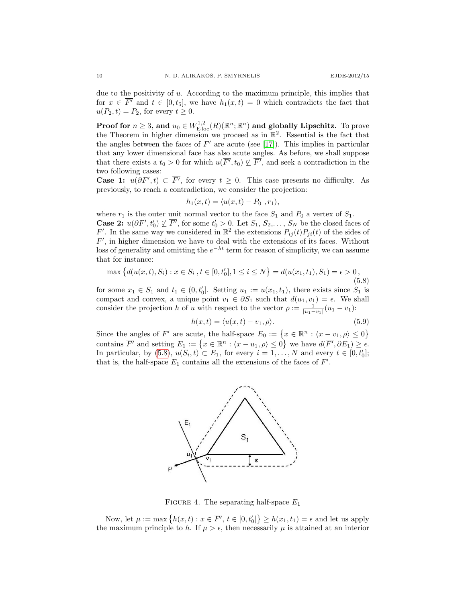due to the positivity of  $u$ . According to the maximum principle, this implies that for  $x \in \overline{F'}$  and  $t \in [0, t_5]$ , we have  $h_1(x, t) = 0$  which contradicts the fact that  $u(P_2, t) = P_2$ , for every  $t \geq 0$ .

Proof for  $n\geq 3$ , and  $u_0\in W^{1,2}_{\mathrm{E\,loc}}(R)({\mathbb R}^n;{\mathbb R}^n)$  and globally Lipschitz. To prove the Theorem in higher dimension we proceed as in  $\mathbb{R}^2$ . Essential is the fact that the angles between the faces of  $F'$  are acute (see [\[17\]](#page-14-0)). This implies in particular that any lower dimensional face has also acute angles. As before, we shall suppose that there exists a  $t_0 > 0$  for which  $u(\overline{F'}, t_0) \nsubseteq \overline{F'}$ , and seek a contradiction in the two following cases:

**Case 1:**  $u(\partial F', t)$  ⊂  $\overline{F'}$ , for every  $t \geq 0$ . This case presents no difficulty. As previously, to reach a contradiction, we consider the projection:

$$
h_1(x,t) = \langle u(x,t) - P_0, r_1 \rangle,
$$

where  $r_1$  is the outer unit normal vector to the face  $S_1$  and  $P_0$  a vertex of  $S_1$ . **Case 2:**  $u(\partial F', t'_0) \nsubseteq \overline{F'}$ , for some  $t'_0 > 0$ . Let  $S_1, S_2, \ldots, S_N$  be the closed faces of F'. In the same way we considered in  $\mathbb{R}^2$  the extensions  $P_{ij}(t)P_{ji}(t)$  of the sides of  $F'$ , in higher dimension we have to deal with the extensions of its faces. Without loss of generality and omitting the  $e^{-\lambda t}$  term for reason of simplicity, we can assume that for instance:

<span id="page-9-0"></span>
$$
\max\left\{d(u(x,t),S_i): x \in S_i, t \in [0,t'_0], 1 \le i \le N\right\} = d(u(x_1,t_1),S_1) = \epsilon > 0,
$$
\n(5.8)

for some  $x_1 \in S_1$  and  $t_1 \in (0, t'_0]$ . Setting  $u_1 := u(x_1, t_1)$ , there exists since  $S_1$  is compact and convex, a unique point  $v_1 \in \partial S_1$  such that  $d(u_1, v_1) = \epsilon$ . We shall consider the projection h of u with respect to the vector  $\rho := \frac{1}{|u_1 - v_1|} (u_1 - v_1)$ :

$$
h(x,t) = \langle u(x,t) - v_1, \rho \rangle. \tag{5.9}
$$

Since the angles of F' are acute, the half-space  $E_0 := \{x \in \mathbb{R}^n : \langle x - v_1, \rho \rangle \leq 0\}$ contains  $\overline{F'}$  and setting  $E_1 := \{x \in \mathbb{R}^n : \langle x - u_1, \rho \rangle \leq 0\}$  we have  $d(\overline{F'}, \partial E_1) \geq \epsilon$ . In particular, by [\(5.8\)](#page-9-0),  $u(S_i, t) \subset E_1$ , for every  $i = 1, ..., N$  and every  $t \in [0, t_0']$ ; that is, the half-space  $E_1$  contains all the extensions of the faces of  $F'$ .



FIGURE 4. The separating half-space  $E_1$ 

Now, let  $\mu := \max \{ h(x, t) : x \in \overline{F'}, t \in [0, t'_0] \} \ge h(x_1, t_1) = \epsilon$  and let us apply the maximum principle to h. If  $\mu > \epsilon$ , then necessarily  $\mu$  is attained at an interior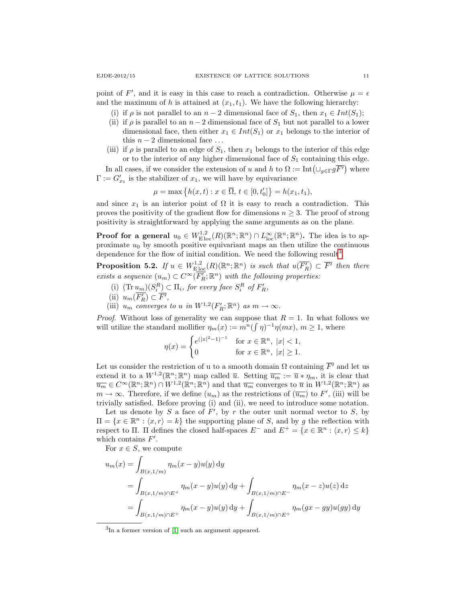point of F', and it is easy in this case to reach a contradiction. Otherwise  $\mu = \epsilon$ and the maximum of h is attained at  $(x_1, t_1)$ . We have the following hierarchy:

- (i) if  $\rho$  is not parallel to an  $n-2$  dimensional face of  $S_1$ , then  $x_1 \in Int(S_1)$ ;
- (ii) if  $\rho$  is parallel to an  $n-2$  dimensional face of  $S_1$  but not parallel to a lower dimensional face, then either  $x_1 \in Int(S_1)$  or  $x_1$  belongs to the interior of this  $n-2$  dimensional face  $\dots$
- (iii) if  $\rho$  is parallel to an edge of  $S_1$ , then  $x_1$  belongs to the interior of this edge or to the interior of any higher dimensional face of  $S_1$  containing this edge.

In all cases, if we consider the extension of u and h to  $\Omega := \text{Int}(\cup_{g \in \Gamma} g \overline{F})$  where  $\Gamma := G'_{x_1}$  is the stabilizer of  $x_1$ , we will have by equivariance

$$
\mu = \max \{ h(x, t) : x \in \overline{\Omega}, t \in [0, t'_0] \} = h(x_1, t_1),
$$

and since  $x_1$  is an interior point of  $\Omega$  it is easy to reach a contradiction. This proves the positivity of the gradient flow for dimensions  $n \geq 3$ . The proof of strong positivity is straightforward by applying the same arguments as on the plane.

**Proof for a general**  $u_0 \in W^{1,2}_{\text{Eloc}}(R)(\mathbb{R}^n;\mathbb{R}^n) \cap L^{\infty}_{\text{loc}}(\mathbb{R}^n;\mathbb{R}^n)$ . The idea is to approximate  $u_0$  by smooth positive equivariant maps an then utilize the continuous dependence for the flow of initial condition. We need the following result<sup>[3](#page-10-0)</sup>.

<span id="page-10-1"></span>**Proposition 5.2.** If  $u \in W^{1,2}_{\text{Eloc}}(R)(\mathbb{R}^n;\mathbb{R}^n)$  is such that  $u(\overline{F_R'}) \subset \overline{F'}$  then there exists a sequence  $(u_m) \subset C^{\infty}(\overline{F'_R};\mathbb{R}^n)$  with the following properties:

- (i)  $(\text{Tr } u_m)(S_i^R) \subset \Pi_i$ , for every face  $S_i^R$  of  $F'_R$ ,
- (ii)  $u_m(\overline{F'_R}) \subset \overline{F'}$ ,
- (iii)  $u_m$  converges to u in  $W^{1,2}(F'_R; \mathbb{R}^n)$  as  $m \to \infty$ .

*Proof.* Without loss of generality we can suppose that  $R = 1$ . In what follows we will utilize the standard mollifier  $\eta_m(x) := m^n(\int \eta)^{-1} \eta(mx), m \ge 1$ , where

$$
\eta(x) = \begin{cases} e^{(|x|^2 - 1)^{-1}} & \text{for } x \in \mathbb{R}^n, \ |x| < 1, \\ 0 & \text{for } x \in \mathbb{R}^n, \ |x| \ge 1. \end{cases}
$$

Let us consider the restriction of u to a smooth domain  $\Omega$  containing  $\overline{F'}$  and let us extend it to a  $W^{1,2}(\mathbb{R}^n;\mathbb{R}^n)$  map called  $\overline{u}$ . Setting  $\overline{u_m} := \overline{u} * \eta_m$ , it is clear that  $\overline{u_m} \in C^{\infty}(\mathbb{R}^n;\mathbb{R}^n) \cap W^{1,2}(\mathbb{R}^n;\mathbb{R}^n)$  and that  $\overline{u_m}$  converges to  $\overline{u}$  in  $W^{1,2}(\mathbb{R}^n;\mathbb{R}^n)$  as  $m \to \infty$ . Therefore, if we define  $(u_m)$  as the restrictions of  $(\overline{u_m})$  to  $F'$ , (iii) will be trivially satisfied. Before proving (i) and (ii), we need to introduce some notation.

Let us denote by  $S$  a face of  $F'$ , by  $r$  the outer unit normal vector to  $S$ , by  $\Pi = \{x \in \mathbb{R}^n : \langle x, r \rangle = k\}$  the supporting plane of S, and by g the reflection with respect to Π. Π defines the closed half-spaces  $E^-$  and  $E^+ = \{x \in \mathbb{R}^n : \langle x, r \rangle \leq k\}$ which contains  $F'$ .

For  $x \in S$ , we compute

$$
u_m(x) = \int_{B(x,1/m)} \eta_m(x-y)u(y) \,dy
$$
  
= 
$$
\int_{B(x,1/m) \cap E^+} \eta_m(x-y)u(y) \,dy + \int_{B(x,1/m) \cap E^-} \eta_m(x-z)u(z) \,dz
$$
  
= 
$$
\int_{B(x,1/m) \cap E^+} \eta_m(x-y)u(y) \,dy + \int_{B(x,1/m) \cap E^+} \eta_m(gx - gy)u(gy) \,dy
$$

<span id="page-10-0"></span>3 In a former version of [\[1\]](#page-13-2) such an argument appeared.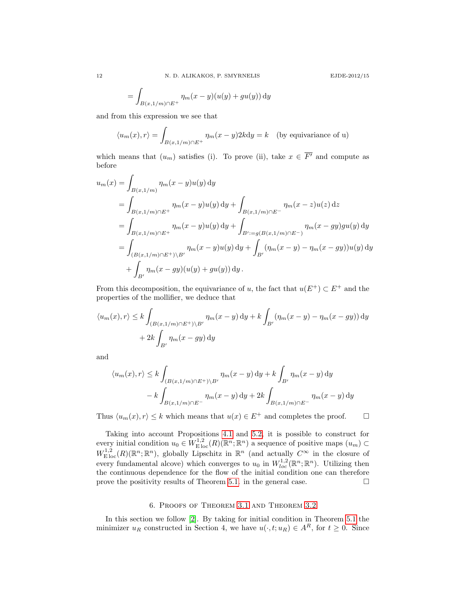$$
= \int_{B(x,1/m)\cap E^+} \eta_m(x-y)(u(y)+gu(y))\,\mathrm{d}y
$$

and from this expression we see that

$$
\langle u_m(x), r \rangle = \int_{B(x, 1/m) \cap E^+} \eta_m(x - y) 2k \, dy = k \quad \text{(by equivariance of u)}
$$

which means that  $(u_m)$  satisfies (i). To prove (ii), take  $x \in \overline{F'}$  and compute as before

$$
u_m(x) = \int_{B(x,1/m)} \eta_m(x-y)u(y) \,dy
$$
  
= 
$$
\int_{B(x,1/m)\cap E^+} \eta_m(x-y)u(y) \,dy + \int_{B(x,1/m)\cap E^-} \eta_m(x-z)u(z) \,dz
$$
  
= 
$$
\int_{B(x,1/m)\cap E^+} \eta_m(x-y)u(y) \,dy + \int_{B':=g(B(x,1/m)\cap E^-)} \eta_m(x-y)g(u(y) \,dy
$$
  
= 
$$
\int_{(B(x,1/m)\cap E^+) \setminus B'} \eta_m(x-y)u(y) \,dy + \int_{B'} (\eta_m(x-y) - \eta_m(x-y))u(y) \,dy
$$
  
+ 
$$
\int_{B'} \eta_m(x-y)u(y) + gu(y) \,dy.
$$

From this decomposition, the equivariance of u, the fact that  $u(E^+) \subset E^+$  and the properties of the mollifier, we deduce that

$$
\langle u_m(x), r \rangle \le k \int_{(B(x,1/m) \cap E^+)\setminus B'} \eta_m(x-y) \, dy + k \int_{B'} (\eta_m(x-y) - \eta_m(x - gy)) \, dy
$$

$$
+ 2k \int_{B'} \eta_m(x - gy) \, dy
$$

and

$$
\langle u_m(x), r \rangle \le k \int_{(B(x,1/m) \cap E^+)\backslash B'} \eta_m(x-y) \, dy + k \int_{B'} \eta_m(x-y) \, dy
$$

$$
- k \int_{B(x,1/m) \cap E^-} \eta_m(x-y) \, dy + 2k \int_{B(x,1/m) \cap E^-} \eta_m(x-y) \, dy
$$

Thus  $\langle u_m(x), r \rangle \leq k$  which means that  $u(x) \in E^+$  and completes the proof.  $\Box$ 

Taking into account Propositions [4.1](#page-5-1) and [5.2,](#page-10-1) it is possible to construct for every initial condition  $u_0 \in W^{1,2}_{\text{E loc}}(R)(\mathbb{R}^n;\mathbb{R}^n)$  a sequence of positive maps  $(u_m) \subset$  $W^{1,2}_{\text{E loc}}(R)(\mathbb{R}^n;\mathbb{R}^n)$ , globally Lipschitz in  $\mathbb{R}^n$  (and actually  $C^{\infty}$  in the closure of every fundamental alcove) which converges to  $u_0$  in  $W_{loc}^{1,2}(\mathbb{R}^n;\mathbb{R}^n)$ . Utilizing then the continuous dependence for the flow of the initial condition one can therefore prove the positivity results of Theorem [5.1.](#page-6-0) in the general case.  $\Box$ 

# 6. Proofs of Theorem [3.1](#page-3-1) and Theorem [3.2](#page-3-0)

In this section we follow [\[2\]](#page-13-3). By taking for initial condition in Theorem [5.1](#page-6-0) the minimizer  $u_R$  constructed in Section 4, we have  $u(\cdot, t; u_R) \in A^R$ , for  $t \geq 0$ . Since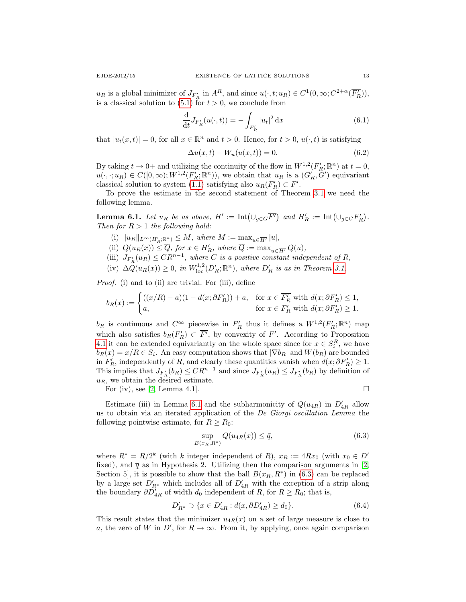$u_R$  is a global minimizer of  $J_{F'_R}$  in  $A^R$ , and since  $u(\cdot, t; u_R) \in C^1(0, \infty; C^{2+\alpha}(\overline{F'_R})),$ is a classical solution to  $(5.1)$  for  $t > 0$ , we conclude from

$$
\frac{\mathrm{d}}{\mathrm{d}t} J_{F'_R}(u(\cdot, t)) = -\int_{F'_R} |u_t|^2 \,\mathrm{d}x \tag{6.1}
$$

that  $|u_t(x,t)| = 0$ , for all  $x \in \mathbb{R}^n$  and  $t > 0$ . Hence, for  $t > 0$ ,  $u(\cdot, t)$  is satisfying

$$
\Delta u(x,t) - W_u(u(x,t)) = 0.
$$
\n
$$
(6.2)
$$

By taking  $t \to 0^+$  and utilizing the continuity of the flow in  $W^{1,2}(F'_R; \mathbb{R}^n)$  at  $t = 0$ ,  $u(\cdot, \cdot; u_R) \in C([0,\infty); W^{1,2}(F_R'; \mathbb{R}^n))$ , we obtain that  $u_R$  is a  $(G_R', G')$  equivariant classical solution to system [\(1.1\)](#page-0-0) satisfying also  $u_R(F'_R) \subset F'$ .

To prove the estimate in the second statement of Theorem [3.1](#page-3-1) we need the following lemma.

<span id="page-12-0"></span>**Lemma 6.1.** Let  $u_R$  be as above,  $H' := \text{Int}(\cup_{g \in G} \overline{F'})$  and  $H'_R := \text{Int}(\cup_{g \in G} \overline{F'_R})$ . Then for  $R > 1$  the following hold:

- (i)  $||u_R||_{L^{\infty}(H'_R; \mathbb{R}^n)} \leq M$ , where  $M := \max_{u \in \overline{H'}} |u|$ ,
- (ii)  $Q(u_R(x)) \leq \overline{Q}$ , for  $x \in H'_R$ , where  $\overline{Q} := \max_{u \in \overline{H'}} Q(u)$ ,
- (iii)  $J_{F'_R}(u_R) \leq C R^{n-1}$ , where C is a positive constant independent of R,
- (iv)  $\Delta Q(u_R(x)) \geq 0$ , in  $W^{1,2}_{loc}(D'_R; \mathbb{R}^n)$ , where  $D'_R$  is as in Theorem [3.1.](#page-3-1)

Proof. (i) and to (ii) are trivial. For (iii), define

$$
b_R(x) := \begin{cases} ((x/R) - a)(1 - d(x; \partial F'_R)) + a, & \text{for } x \in \overline{F'_R} \text{ with } d(x; \partial F'_R) \le 1, \\ a, & \text{for } x \in F'_R \text{ with } d(x; \partial F'_R) \ge 1. \end{cases}
$$

 $b_R$  is continuous and  $C^{\infty}$  piecewise in  $\overline{F'_R}$  thus it defines a  $W^{1,2}(F'_R; \mathbb{R}^n)$  map which also satisfies  $b_R(\overline{F_R}) \subset \overline{F'}$ , by convexity of F'. According to Proposition [4.1](#page-5-1) it can be extended equivariantly on the whole space since for  $x \in S_i^R$ , we have  $b_R(x) = x/R \in S_i$ . An easy computation shows that  $|\nabla b_R|$  and  $W(b_R)$  are bounded in  $F'_R$ , independently of R, and clearly these quantities vanish when  $d(x; \partial F'_R) \geq 1$ . This implies that  $J_{F'_R}(b_R) \leq C R^{n-1}$  and since  $J_{F'_R}(u_R) \leq J_{F'_R}(b_R)$  by definition of  $u_R$ , we obtain the desired estimate.

For (iv), see [\[2,](#page-13-3) Lemma 4.1].

Estimate (iii) in Lemma [6.1](#page-12-0) and the subharmonicity of  $Q(u_{4R})$  in  $D'_{4R}$  allow us to obtain via an iterated application of the De Giorgi oscillation Lemma the following pointwise estimate, for  $R \geq R_0$ :

<span id="page-12-1"></span>
$$
\sup_{B(x_R, R^*)} Q(u_{4R}(x)) \le \bar{q},\tag{6.3}
$$

where  $R^* = R/2^k$  (with k integer independent of R),  $x_R := 4Rx_0$  (with  $x_0 \in D'$ fixed), and  $\bar{q}$  as in Hypothesis 2. Utilizing then the comparison arguments in [\[2,](#page-13-3) Section 5, it is possible to show that the ball  $B(x_R, R^*)$  in [\(6.3\)](#page-12-1) can be replaced by a large set  $D'_{R*}$  which includes all of  $D'_{4R}$  with the exception of a strip along the boundary  $\partial D'_{4R}$  of width  $d_0$  independent of  $R$ , for  $R \geq R_0$ ; that is,

$$
D'_{R^*} \supset \{ x \in D'_{4R} : d(x, \partial D'_{4R}) \ge d_0 \}. \tag{6.4}
$$

This result states that the minimizer  $u_{4R}(x)$  on a set of large measure is close to a, the zero of W in  $D'$ , for  $R \to \infty$ . From it, by applying, once again comparison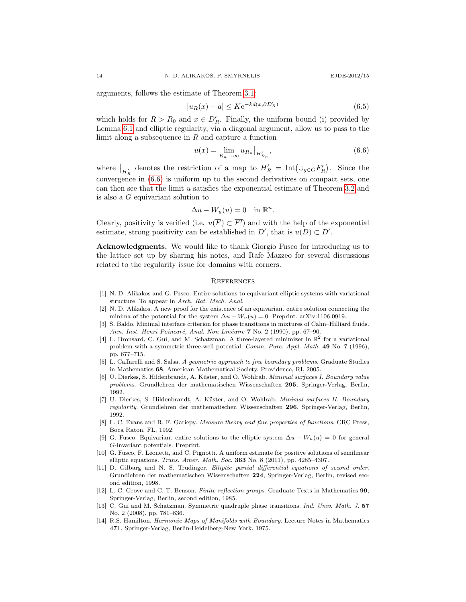arguments, follows the estimate of Theorem [3.1:](#page-3-1)

$$
|u_R(x) - a| \le K e^{-kd(x, \partial D'_R)} \tag{6.5}
$$

which holds for  $R > R_0$  and  $x \in D'_R$ . Finally, the uniform bound (i) provided by Lemma [6.1](#page-12-0) and elliptic regularity, via a diagonal argument, allow us to pass to the limit along a subsequence in  $R$  and capture a function

<span id="page-13-6"></span>
$$
u(x) = \lim_{R_n \to \infty} u_{R_n} \big|_{H'_{R_n}},\tag{6.6}
$$

where  $\big|_{H'_R}$  denotes the restriction of a map to  $H'_R = \text{Int}(\cup_{g \in G} \overline{F'_R})$ . Since the convergence in  $(6.6)$  is uniform up to the second derivatives on compact sets, one can then see that the limit u satisfies the exponential estimate of Theorem [3.2](#page-3-0) and is also a G equivariant solution to

$$
\Delta u - W_u(u) = 0 \quad \text{in } \mathbb{R}^n.
$$

Clearly, positivity is verified (i.e.  $u(\overline{F}) \subset \overline{F'}$ ) and with the help of the exponential estimate, strong positivity can be established in  $D'$ , that is  $u(D) \subset D'$ .

Acknowledgments. We would like to thank Giorgio Fusco for introducing us to the lattice set up by sharing his notes, and Rafe Mazzeo for several discussions related to the regularity issue for domains with corners.

## **REFERENCES**

- <span id="page-13-2"></span>[1] N. D. Alikakos and G. Fusco. Entire solutions to equivariant elliptic systems with variational structure. To appear in Arch. Rat. Mech. Anal.
- <span id="page-13-3"></span>[2] N. D. Alikakos. A new proof for the existence of an equivariant entire solution connecting the minima of the potential for the system  $\Delta u - W_u(u) = 0$ . Preprint. arXiv:1106.0919.
- [3] S. Baldo. Minimal interface criterion for phase transitions in mixtures of Cahn–Hilliard fluids. Ann. Inst. Henri Poincaré, Anal. Non Linéaire 7 No. 2 (1990), pp. 67-90.
- <span id="page-13-0"></span>[4] L. Bronsard, C. Gui, and M. Schatzman. A three-layered minimizer in  $\mathbb{R}^2$  for a variational problem with a symmetric three-well potential. Comm. Pure. Appl. Math. 49 No. 7 (1996), pp. 677–715.
- [5] L. Caffarelli and S. Salsa. A geometric approach to free boundary problems. Graduate Studies in Mathematics 68, American Mathematical Society, Providence, RI, 2005.
- [6] U. Dierkes, S. Hildenbrandt, A. Küster, and O. Wohlrab. Minimal surfaces I. Boundary value problems. Grundlehren der mathematischen Wissenschaften 295, Springer-Verlag, Berlin, 1992.
- [7] U. Dierkes, S. Hildenbrandt, A. Küster, and O. Wohlrab. Minimal surfaces II. Boundary regularity. Grundlehren der mathematischen Wissenschaften 296, Springer-Verlag, Berlin, 1992.
- [8] L. C. Evans and R. F. Gariepy. Measure theory and fine properties of functions. CRC Press, Boca Raton, FL, 1992.
- <span id="page-13-5"></span>[9] G. Fusco. Equivariant entire solutions to the elliptic system  $\Delta u - W_u(u) = 0$  for general G-invariant potentials. Preprint.
- [10] G. Fusco, F. Leonetti, and C. Pignotti. A uniform estimate for positive solutions of semilinear elliptic equations. Trans. Amer. Math. Soc.  $363$  No. 8 (2011), pp. 4285-4307.
- [11] D. Gilbarg and N. S. Trudinger. Elliptic partial differential equations of second order. Grundlehren der mathematischen Wissenschaften 224, Springer-Verlag, Berlin, revised second edition, 1998.
- [12] L. C. Grove and C. T. Benson. Finite reflection groups. Graduate Texts in Mathematics 99, Springer-Verlag, Berlin, second edition, 1985.
- <span id="page-13-1"></span>[13] C. Gui and M. Schatzman. Symmetric quadruple phase transitions. Ind. Univ. Math. J. 57 No. 2 (2008), pp. 781–836.
- <span id="page-13-4"></span>[14] R.S. Hamilton. Harmonic Maps of Manifolds with Boundary. Lecture Notes in Mathematics 471, Springer-Verlag, Berlin-Heidelberg-New York, 1975.